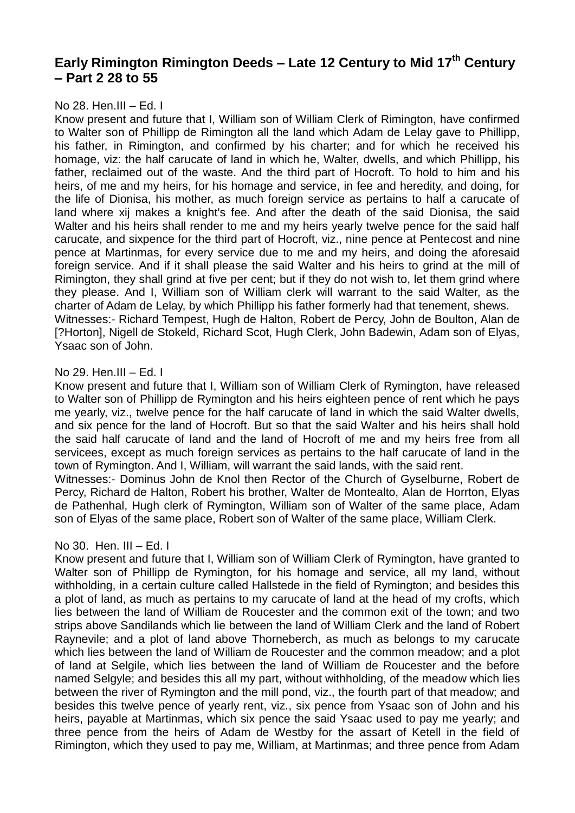# **Early Rimington Rimington Deeds – Late 12 Century to Mid 17th Century – Part 2 28 to 55**

## No 28. Hen.III – Ed. I

Know present and future that I, William son of William Clerk of Rimington, have confirmed to Walter son of Phillipp de Rimington all the land which Adam de Lelay gave to Phillipp, his father, in Rimington, and confirmed by his charter; and for which he received his homage, viz: the half carucate of land in which he, Walter, dwells, and which Phillipp, his father, reclaimed out of the waste. And the third part of Hocroft. To hold to him and his heirs, of me and my heirs, for his homage and service, in fee and heredity, and doing, for the life of Dionisa, his mother, as much foreign service as pertains to half a carucate of land where xij makes a knight's fee. And after the death of the said Dionisa, the said Walter and his heirs shall render to me and my heirs yearly twelve pence for the said half carucate, and sixpence for the third part of Hocroft, viz., nine pence at Pentecost and nine pence at Martinmas, for every service due to me and my heirs, and doing the aforesaid foreign service. And if it shall please the said Walter and his heirs to grind at the mill of Rimington, they shall grind at five per cent; but if they do not wish to, let them grind where they please. And I, William son of William clerk will warrant to the said Walter, as the charter of Adam de Lelay, by which Phillipp his father formerly had that tenement, shews. Witnesses:- Richard Tempest, Hugh de Halton, Robert de Percy, John de Boulton, Alan de [?Horton], Nigell de Stokeld, Richard Scot, Hugh Clerk, John Badewin, Adam son of Elyas, Ysaac son of John.

## No 29. Hen.III – Ed. I

Know present and future that I, William son of William Clerk of Rymington, have released to Walter son of Phillipp de Rymington and his heirs eighteen pence of rent which he pays me yearly, viz., twelve pence for the half carucate of land in which the said Walter dwells, and six pence for the land of Hocroft. But so that the said Walter and his heirs shall hold the said half carucate of land and the land of Hocroft of me and my heirs free from all servicees, except as much foreign services as pertains to the half carucate of land in the town of Rymington. And I, William, will warrant the said lands, with the said rent.

Witnesses:- Dominus John de Knol then Rector of the Church of Gyselburne, Robert de Percy, Richard de Halton, Robert his brother, Walter de Montealto, Alan de Horrton, Elyas de Pathenhal, Hugh clerk of Rymington, William son of Walter of the same place, Adam son of Elyas of the same place, Robert son of Walter of the same place, William Clerk.

# No 30. Hen. III – Ed. I

Know present and future that I, William son of William Clerk of Rymington, have granted to Walter son of Phillipp de Rymington, for his homage and service, all my land, without withholding, in a certain culture called Hallstede in the field of Rymington; and besides this a plot of land, as much as pertains to my carucate of land at the head of my crofts, which lies between the land of William de Roucester and the common exit of the town; and two strips above Sandilands which lie between the land of William Clerk and the land of Robert Raynevile; and a plot of land above Thorneberch, as much as belongs to my carucate which lies between the land of William de Roucester and the common meadow; and a plot of land at Selgile, which lies between the land of William de Roucester and the before named Selgyle; and besides this all my part, without withholding, of the meadow which lies between the river of Rymington and the mill pond, viz., the fourth part of that meadow; and besides this twelve pence of yearly rent, viz., six pence from Ysaac son of John and his heirs, payable at Martinmas, which six pence the said Ysaac used to pay me yearly; and three pence from the heirs of Adam de Westby for the assart of Ketell in the field of Rimington, which they used to pay me, William, at Martinmas; and three pence from Adam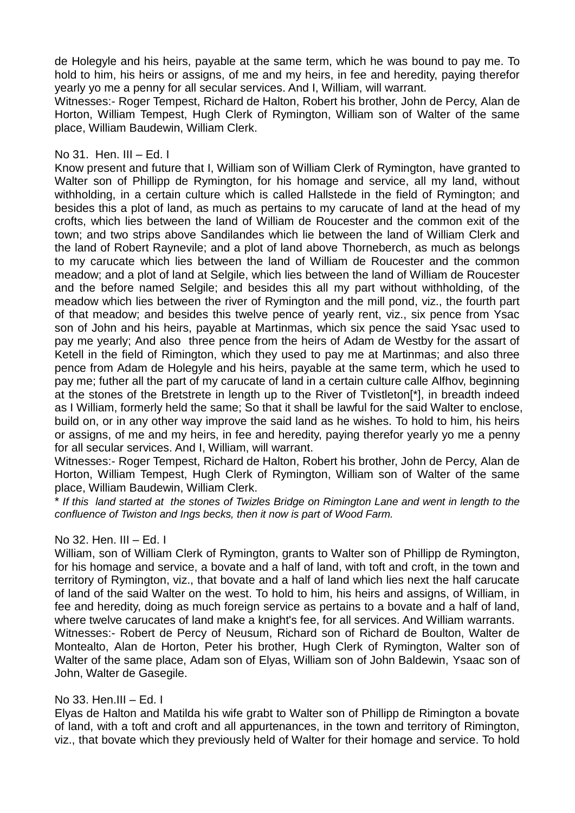de Holegyle and his heirs, payable at the same term, which he was bound to pay me. To hold to him, his heirs or assigns, of me and my heirs, in fee and heredity, paying therefor yearly yo me a penny for all secular services. And I, William, will warrant.

Witnesses:- Roger Tempest, Richard de Halton, Robert his brother, John de Percy, Alan de Horton, William Tempest, Hugh Clerk of Rymington, William son of Walter of the same place, William Baudewin, William Clerk.

# No  $31.$  Hen. III – Ed. I

Know present and future that I, William son of William Clerk of Rymington, have granted to Walter son of Phillipp de Rymington, for his homage and service, all my land, without withholding, in a certain culture which is called Hallstede in the field of Rymington; and besides this a plot of land, as much as pertains to my carucate of land at the head of my crofts, which lies between the land of William de Roucester and the common exit of the town; and two strips above Sandilandes which lie between the land of William Clerk and the land of Robert Raynevile; and a plot of land above Thorneberch, as much as belongs to my carucate which lies between the land of William de Roucester and the common meadow; and a plot of land at Selgile, which lies between the land of William de Roucester and the before named Selgile; and besides this all my part without withholding, of the meadow which lies between the river of Rymington and the mill pond, viz., the fourth part of that meadow; and besides this twelve pence of yearly rent, viz., six pence from Ysac son of John and his heirs, payable at Martinmas, which six pence the said Ysac used to pay me yearly; And also three pence from the heirs of Adam de Westby for the assart of Ketell in the field of Rimington, which they used to pay me at Martinmas; and also three pence from Adam de Holegyle and his heirs, payable at the same term, which he used to pay me; futher all the part of my carucate of land in a certain culture calle Alfhov, beginning at the stones of the Bretstrete in length up to the River of Tvistleton[\*], in breadth indeed as I William, formerly held the same; So that it shall be lawful for the said Walter to enclose, build on, or in any other way improve the said land as he wishes. To hold to him, his heirs or assigns, of me and my heirs, in fee and heredity, paying therefor yearly yo me a penny for all secular services. And I, William, will warrant.

Witnesses:- Roger Tempest, Richard de Halton, Robert his brother, John de Percy, Alan de Horton, William Tempest, Hugh Clerk of Rymington, William son of Walter of the same place, William Baudewin, William Clerk.

\* *If this land started at the stones of Twizles Bridge on Rimington Lane and went in length to the confluence of Twiston and Ings becks, then it now is part of Wood Farm.*

# No 32. Hen. III – Ed. I

William, son of William Clerk of Rymington, grants to Walter son of Phillipp de Rymington, for his homage and service, a bovate and a half of land, with toft and croft, in the town and territory of Rymington, viz., that bovate and a half of land which lies next the half carucate of land of the said Walter on the west. To hold to him, his heirs and assigns, of William, in fee and heredity, doing as much foreign service as pertains to a bovate and a half of land, where twelve carucates of land make a knight's fee, for all services. And William warrants. Witnesses:- Robert de Percy of Neusum, Richard son of Richard de Boulton, Walter de Montealto, Alan de Horton, Peter his brother, Hugh Clerk of Rymington, Walter son of Walter of the same place, Adam son of Elyas, William son of John Baldewin, Ysaac son of John, Walter de Gasegile.

# No 33. Hen.III – Ed. I

Elyas de Halton and Matilda his wife grabt to Walter son of Phillipp de Rimington a bovate of land, with a toft and croft and all appurtenances, in the town and territory of Rimington, viz., that bovate which they previously held of Walter for their homage and service. To hold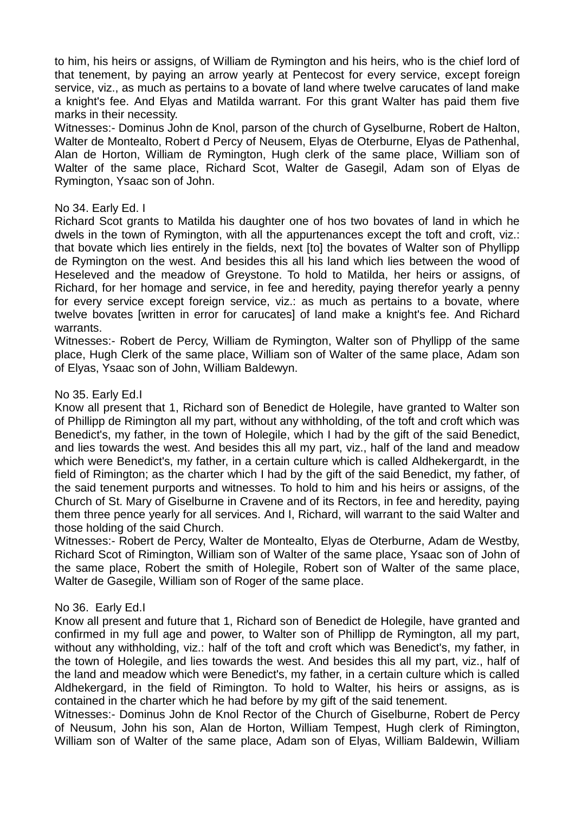to him, his heirs or assigns, of William de Rymington and his heirs, who is the chief lord of that tenement, by paying an arrow yearly at Pentecost for every service, except foreign service, viz., as much as pertains to a bovate of land where twelve carucates of land make a knight's fee. And Elyas and Matilda warrant. For this grant Walter has paid them five marks in their necessity.

Witnesses:- Dominus John de Knol, parson of the church of Gyselburne, Robert de Halton, Walter de Montealto, Robert d Percy of Neusem, Elyas de Oterburne, Elyas de Pathenhal, Alan de Horton, William de Rymington, Hugh clerk of the same place, William son of Walter of the same place, Richard Scot, Walter de Gasegil, Adam son of Elyas de Rymington, Ysaac son of John.

## No 34. Early Ed. I

Richard Scot grants to Matilda his daughter one of hos two bovates of land in which he dwels in the town of Rymington, with all the appurtenances except the toft and croft, viz.: that bovate which lies entirely in the fields, next [to] the bovates of Walter son of Phyllipp de Rymington on the west. And besides this all his land which lies between the wood of Heseleved and the meadow of Greystone. To hold to Matilda, her heirs or assigns, of Richard, for her homage and service, in fee and heredity, paying therefor yearly a penny for every service except foreign service, viz.: as much as pertains to a bovate, where twelve bovates [written in error for carucates] of land make a knight's fee. And Richard warrants.

Witnesses:- Robert de Percy, William de Rymington, Walter son of Phyllipp of the same place, Hugh Clerk of the same place, William son of Walter of the same place, Adam son of Elyas, Ysaac son of John, William Baldewyn.

## No 35. Early Ed.I

Know all present that 1, Richard son of Benedict de Holegile, have granted to Walter son of Phillipp de Rimington all my part, without any withholding, of the toft and croft which was Benedict's, my father, in the town of Holegile, which I had by the gift of the said Benedict, and lies towards the west. And besides this all my part, viz., half of the land and meadow which were Benedict's, my father, in a certain culture which is called Aldhekergardt, in the field of Rimington; as the charter which I had by the gift of the said Benedict, my father, of the said tenement purports and witnesses. To hold to him and his heirs or assigns, of the Church of St. Mary of Giselburne in Cravene and of its Rectors, in fee and heredity, paying them three pence yearly for all services. And I, Richard, will warrant to the said Walter and those holding of the said Church.

Witnesses:- Robert de Percy, Walter de Montealto, Elyas de Oterburne, Adam de Westby, Richard Scot of Rimington, William son of Walter of the same place, Ysaac son of John of the same place, Robert the smith of Holegile, Robert son of Walter of the same place, Walter de Gasegile, William son of Roger of the same place.

# No 36. Early Ed.I

Know all present and future that 1, Richard son of Benedict de Holegile, have granted and confirmed in my full age and power, to Walter son of Phillipp de Rymington, all my part, without any withholding, viz.: half of the toft and croft which was Benedict's, my father, in the town of Holegile, and lies towards the west. And besides this all my part, viz., half of the land and meadow which were Benedict's, my father, in a certain culture which is called Aldhekergard, in the field of Rimington. To hold to Walter, his heirs or assigns, as is contained in the charter which he had before by my gift of the said tenement.

Witnesses:- Dominus John de Knol Rector of the Church of Giselburne, Robert de Percy of Neusum, John his son, Alan de Horton, William Tempest, Hugh clerk of Rimington, William son of Walter of the same place, Adam son of Elyas, William Baldewin, William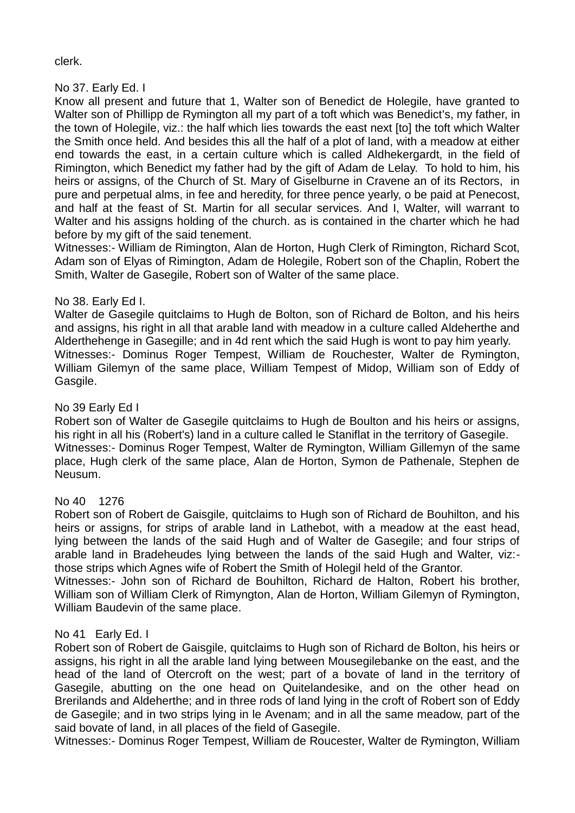clerk.

No 37. Early Ed. I

Know all present and future that 1, Walter son of Benedict de Holegile, have granted to Walter son of Phillipp de Rymington all my part of a toft which was Benedict's, my father, in the town of Holegile, viz.: the half which lies towards the east next [to] the toft which Walter the Smith once held. And besides this all the half of a plot of land, with a meadow at either end towards the east, in a certain culture which is called Aldhekergardt, in the field of Rimington, which Benedict my father had by the gift of Adam de Lelay. To hold to him, his heirs or assigns, of the Church of St. Mary of Giselburne in Cravene an of its Rectors, in pure and perpetual alms, in fee and heredity, for three pence yearly, o be paid at Penecost, and half at the feast of St. Martin for all secular services. And I, Walter, will warrant to Walter and his assigns holding of the church. as is contained in the charter which he had before by my gift of the said tenement.

Witnesses:- William de Rimington, Alan de Horton, Hugh Clerk of Rimington, Richard Scot, Adam son of Elyas of Rimington, Adam de Holegile, Robert son of the Chaplin, Robert the Smith, Walter de Gasegile, Robert son of Walter of the same place.

# No 38. Early Ed I.

Walter de Gasegile quitclaims to Hugh de Bolton, son of Richard de Bolton, and his heirs and assigns, his right in all that arable land with meadow in a culture called Aldeherthe and Alderthehenge in Gasegille; and in 4d rent which the said Hugh is wont to pay him yearly. Witnesses:- Dominus Roger Tempest, William de Rouchester, Walter de Rymington, William Gilemyn of the same place, William Tempest of Midop, William son of Eddy of Gasgile.

# No 39 Early Ed I

Robert son of Walter de Gasegile quitclaims to Hugh de Boulton and his heirs or assigns, his right in all his (Robert's) land in a culture called le Staniflat in the territory of Gasegile. Witnesses:- Dominus Roger Tempest, Walter de Rymington, William Gillemyn of the same place, Hugh clerk of the same place, Alan de Horton, Symon de Pathenale, Stephen de Neusum.

# No 40 1276

Robert son of Robert de Gaisgile, quitclaims to Hugh son of Richard de Bouhilton, and his heirs or assigns, for strips of arable land in Lathebot, with a meadow at the east head, lying between the lands of the said Hugh and of Walter de Gasegile; and four strips of arable land in Bradeheudes lying between the lands of the said Hugh and Walter, viz: those strips which Agnes wife of Robert the Smith of Holegil held of the Grantor.

Witnesses:- John son of Richard de Bouhilton, Richard de Halton, Robert his brother, William son of William Clerk of Rimyngton, Alan de Horton, William Gilemyn of Rymington, William Baudevin of the same place.

# No 41 Early Ed. I

Robert son of Robert de Gaisgile, quitclaims to Hugh son of Richard de Bolton, his heirs or assigns, his right in all the arable land lying between Mousegilebanke on the east, and the head of the land of Otercroft on the west; part of a bovate of land in the territory of Gasegile, abutting on the one head on Quitelandesike, and on the other head on Brerilands and Aldeherthe; and in three rods of land lying in the croft of Robert son of Eddy de Gasegile; and in two strips lying in le Avenam; and in all the same meadow, part of the said bovate of land, in all places of the field of Gasegile.

Witnesses:- Dominus Roger Tempest, William de Roucester, Walter de Rymington, William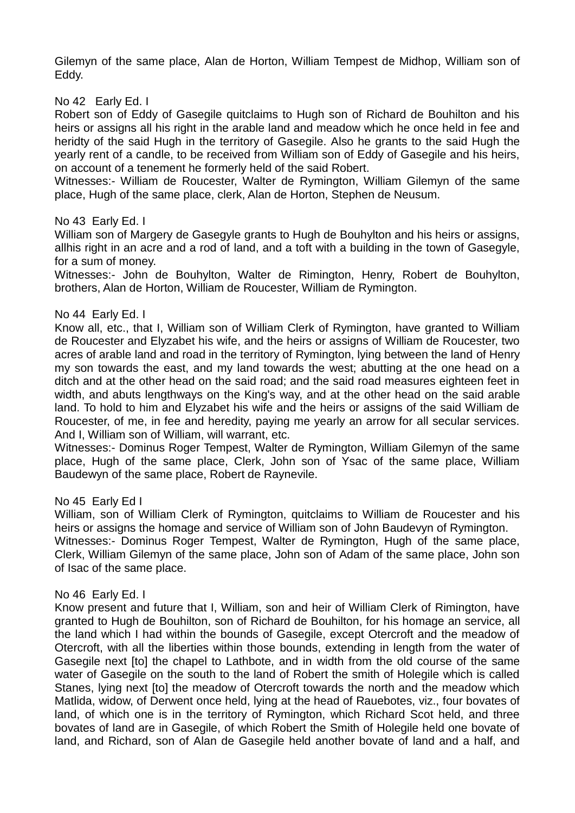Gilemyn of the same place, Alan de Horton, William Tempest de Midhop, William son of Eddy.

## No 42 Early Ed. I

Robert son of Eddy of Gasegile quitclaims to Hugh son of Richard de Bouhilton and his heirs or assigns all his right in the arable land and meadow which he once held in fee and heridty of the said Hugh in the territory of Gasegile. Also he grants to the said Hugh the yearly rent of a candle, to be received from William son of Eddy of Gasegile and his heirs, on account of a tenement he formerly held of the said Robert.

Witnesses:- William de Roucester, Walter de Rymington, William Gilemyn of the same place, Hugh of the same place, clerk, Alan de Horton, Stephen de Neusum.

#### No 43 Early Ed. I

William son of Margery de Gasegyle grants to Hugh de Bouhylton and his heirs or assigns, allhis right in an acre and a rod of land, and a toft with a building in the town of Gasegyle, for a sum of money.

Witnesses:- John de Bouhylton, Walter de Rimington, Henry, Robert de Bouhylton, brothers, Alan de Horton, William de Roucester, William de Rymington.

#### No 44 Early Ed. I

Know all, etc., that I, William son of William Clerk of Rymington, have granted to William de Roucester and Elyzabet his wife, and the heirs or assigns of William de Roucester, two acres of arable land and road in the territory of Rymington, lying between the land of Henry my son towards the east, and my land towards the west; abutting at the one head on a ditch and at the other head on the said road; and the said road measures eighteen feet in width, and abuts lengthways on the King's way, and at the other head on the said arable land. To hold to him and Elyzabet his wife and the heirs or assigns of the said William de Roucester, of me, in fee and heredity, paying me yearly an arrow for all secular services. And I, William son of William, will warrant, etc.

Witnesses:- Dominus Roger Tempest, Walter de Rymington, William Gilemyn of the same place, Hugh of the same place, Clerk, John son of Ysac of the same place, William Baudewyn of the same place, Robert de Raynevile.

#### No 45 Early Ed I

William, son of William Clerk of Rymington, quitclaims to William de Roucester and his heirs or assigns the homage and service of William son of John Baudevyn of Rymington. Witnesses:- Dominus Roger Tempest, Walter de Rymington, Hugh of the same place, Clerk, William Gilemyn of the same place, John son of Adam of the same place, John son of Isac of the same place.

#### No 46 Early Ed. I

Know present and future that I, William, son and heir of William Clerk of Rimington, have granted to Hugh de Bouhilton, son of Richard de Bouhilton, for his homage an service, all the land which I had within the bounds of Gasegile, except Otercroft and the meadow of Otercroft, with all the liberties within those bounds, extending in length from the water of Gasegile next [to] the chapel to Lathbote, and in width from the old course of the same water of Gasegile on the south to the land of Robert the smith of Holegile which is called Stanes, lying next [to] the meadow of Otercroft towards the north and the meadow which Matlida, widow, of Derwent once held, lying at the head of Rauebotes, viz., four bovates of land, of which one is in the territory of Rymington, which Richard Scot held, and three bovates of land are in Gasegile, of which Robert the Smith of Holegile held one bovate of land, and Richard, son of Alan de Gasegile held another bovate of land and a half, and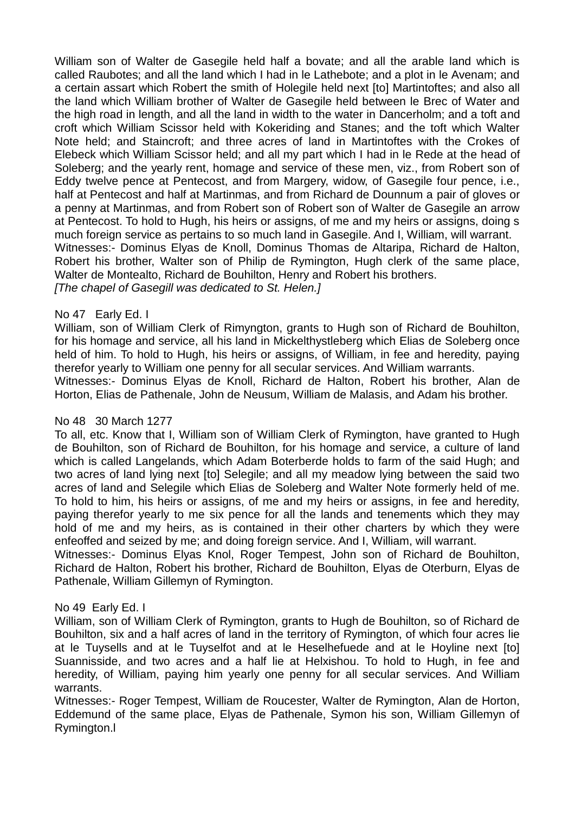William son of Walter de Gasegile held half a bovate; and all the arable land which is called Raubotes; and all the land which I had in le Lathebote; and a plot in le Avenam; and a certain assart which Robert the smith of Holegile held next [to] Martintoftes; and also all the land which William brother of Walter de Gasegile held between le Brec of Water and the high road in length, and all the land in width to the water in Dancerholm; and a toft and croft which William Scissor held with Kokeriding and Stanes; and the toft which Walter Note held; and Staincroft; and three acres of land in Martintoftes with the Crokes of Elebeck which William Scissor held; and all my part which I had in le Rede at the head of Soleberg; and the yearly rent, homage and service of these men, viz., from Robert son of Eddy twelve pence at Pentecost, and from Margery, widow, of Gasegile four pence, i.e., half at Pentecost and half at Martinmas, and from Richard de Dounnum a pair of gloves or a penny at Martinmas, and from Robert son of Robert son of Walter de Gasegile an arrow at Pentecost. To hold to Hugh, his heirs or assigns, of me and my heirs or assigns, doing s much foreign service as pertains to so much land in Gasegile. And I, William, will warrant. Witnesses:- Dominus Elyas de Knoll, Dominus Thomas de Altaripa, Richard de Halton, Robert his brother, Walter son of Philip de Rymington, Hugh clerk of the same place, Walter de Montealto, Richard de Bouhilton, Henry and Robert his brothers. *[The chapel of Gasegill was dedicated to St. Helen.]*

## No 47 Early Ed. I

William, son of William Clerk of Rimyngton, grants to Hugh son of Richard de Bouhilton, for his homage and service, all his land in Mickelthystleberg which Elias de Soleberg once held of him. To hold to Hugh, his heirs or assigns, of William, in fee and heredity, paying therefor yearly to William one penny for all secular services. And William warrants. Witnesses:- Dominus Elyas de Knoll, Richard de Halton, Robert his brother, Alan de Horton, Elias de Pathenale, John de Neusum, William de Malasis, and Adam his brother.

# No 48 30 March 1277

To all, etc. Know that I, William son of William Clerk of Rymington, have granted to Hugh de Bouhilton, son of Richard de Bouhilton, for his homage and service, a culture of land which is called Langelands, which Adam Boterberde holds to farm of the said Hugh; and two acres of land lying next [to] Selegile; and all my meadow lying between the said two acres of land and Selegile which Elias de Soleberg and Walter Note formerly held of me. To hold to him, his heirs or assigns, of me and my heirs or assigns, in fee and heredity, paying therefor yearly to me six pence for all the lands and tenements which they may hold of me and my heirs, as is contained in their other charters by which they were enfeoffed and seized by me; and doing foreign service. And I, William, will warrant.

Witnesses:- Dominus Elyas Knol, Roger Tempest, John son of Richard de Bouhilton, Richard de Halton, Robert his brother, Richard de Bouhilton, Elyas de Oterburn, Elyas de Pathenale, William Gillemyn of Rymington.

# No 49 Early Ed. I

William, son of William Clerk of Rymington, grants to Hugh de Bouhilton, so of Richard de Bouhilton, six and a half acres of land in the territory of Rymington, of which four acres lie at le Tuysells and at le Tuyselfot and at le Heselhefuede and at le Hoyline next [to] Suannisside, and two acres and a half lie at Helxishou. To hold to Hugh, in fee and heredity, of William, paying him yearly one penny for all secular services. And William warrants.

Witnesses:- Roger Tempest, William de Roucester, Walter de Rymington, Alan de Horton, Eddemund of the same place, Elyas de Pathenale, Symon his son, William Gillemyn of Rymington.l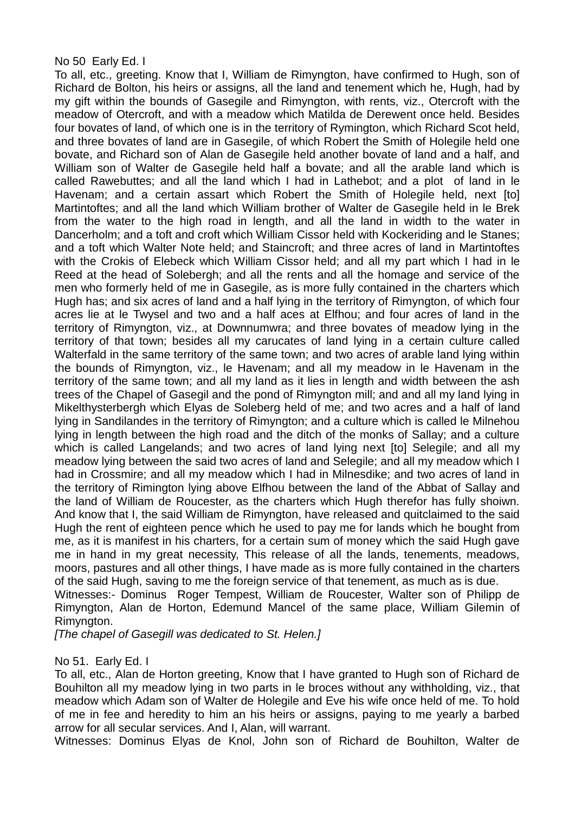#### No 50 Early Ed. I

To all, etc., greeting. Know that I, William de Rimyngton, have confirmed to Hugh, son of Richard de Bolton, his heirs or assigns, all the land and tenement which he, Hugh, had by my gift within the bounds of Gasegile and Rimyngton, with rents, viz., Otercroft with the meadow of Otercroft, and with a meadow which Matilda de Derewent once held. Besides four bovates of land, of which one is in the territory of Rymington, which Richard Scot held, and three bovates of land are in Gasegile, of which Robert the Smith of Holegile held one bovate, and Richard son of Alan de Gasegile held another bovate of land and a half, and William son of Walter de Gasegile held half a bovate; and all the arable land which is called Rawebuttes; and all the land which I had in Lathebot; and a plot of land in le Havenam; and a certain assart which Robert the Smith of Holegile held, next [to] Martintoftes; and all the land which William brother of Walter de Gasegile held in le Brek from the water to the high road in length, and all the land in width to the water in Dancerholm; and a toft and croft which William Cissor held with Kockeriding and le Stanes; and a toft which Walter Note held; and Staincroft; and three acres of land in Martintoftes with the Crokis of Elebeck which William Cissor held; and all my part which I had in le Reed at the head of Solebergh; and all the rents and all the homage and service of the men who formerly held of me in Gasegile, as is more fully contained in the charters which Hugh has; and six acres of land and a half lying in the territory of Rimyngton, of which four acres lie at le Twysel and two and a half aces at Elfhou; and four acres of land in the territory of Rimyngton, viz., at Downnumwra; and three bovates of meadow lying in the territory of that town; besides all my carucates of land lying in a certain culture called Walterfald in the same territory of the same town; and two acres of arable land Iving within the bounds of Rimyngton, viz., le Havenam; and all my meadow in le Havenam in the territory of the same town; and all my land as it lies in length and width between the ash trees of the Chapel of Gasegil and the pond of Rimyngton mill; and and all my land lying in Mikelthysterbergh which Elyas de Soleberg held of me; and two acres and a half of land lying in Sandilandes in the territory of Rimyngton; and a culture which is called le Milnehou lying in length between the high road and the ditch of the monks of Sallay; and a culture which is called Langelands; and two acres of land lying next [to] Selegile; and all my meadow lying between the said two acres of land and Selegile; and all my meadow which I had in Crossmire; and all my meadow which I had in Milnesdike; and two acres of land in the territory of Rimington lying above Elfhou between the land of the Abbat of Sallay and the land of William de Roucester, as the charters which Hugh therefor has fully shoiwn. And know that I, the said William de Rimyngton, have released and quitclaimed to the said Hugh the rent of eighteen pence which he used to pay me for lands which he bought from me, as it is manifest in his charters, for a certain sum of money which the said Hugh gave me in hand in my great necessity, This release of all the lands, tenements, meadows, moors, pastures and all other things, I have made as is more fully contained in the charters of the said Hugh, saving to me the foreign service of that tenement, as much as is due. Witnesses:- Dominus Roger Tempest, William de Roucester, Walter son of Philipp de

Rimyngton, Alan de Horton, Edemund Mancel of the same place, William Gilemin of Rimyngton.

*[The chapel of Gasegill was dedicated to St. Helen.]*

No 51. Early Ed. I

To all, etc., Alan de Horton greeting, Know that I have granted to Hugh son of Richard de Bouhilton all my meadow lying in two parts in le broces without any withholding, viz., that meadow which Adam son of Walter de Holegile and Eve his wife once held of me. To hold of me in fee and heredity to him an his heirs or assigns, paying to me yearly a barbed arrow for all secular services. And I, Alan, will warrant.

Witnesses: Dominus Elyas de Knol, John son of Richard de Bouhilton, Walter de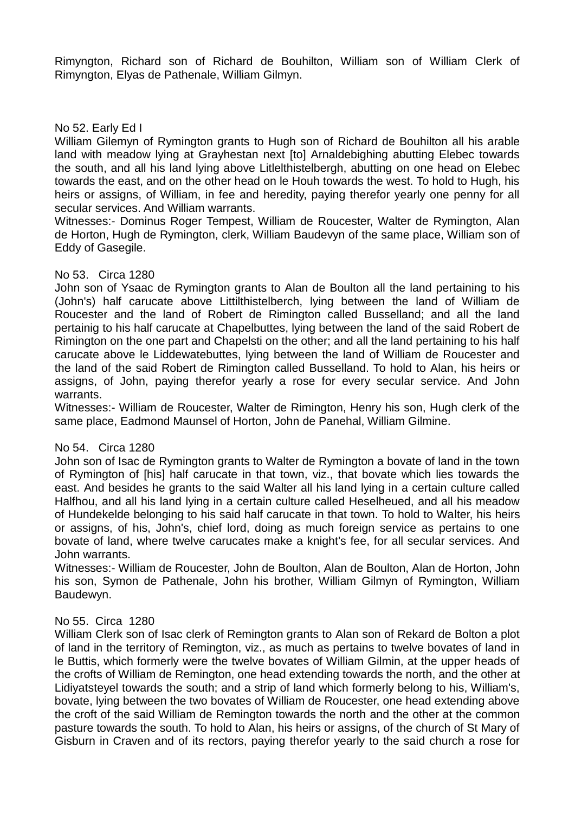Rimyngton, Richard son of Richard de Bouhilton, William son of William Clerk of Rimyngton, Elyas de Pathenale, William Gilmyn.

# No 52. Early Ed I

William Gilemyn of Rymington grants to Hugh son of Richard de Bouhilton all his arable land with meadow lying at Grayhestan next [to] Arnaldebighing abutting Elebec towards the south, and all his land lying above Litlelthistelbergh, abutting on one head on Elebec towards the east, and on the other head on le Houh towards the west. To hold to Hugh, his heirs or assigns, of William, in fee and heredity, paying therefor yearly one penny for all secular services. And William warrants.

Witnesses:- Dominus Roger Tempest, William de Roucester, Walter de Rymington, Alan de Horton, Hugh de Rymington, clerk, William Baudevyn of the same place, William son of Eddy of Gasegile.

## No 53. Circa 1280

John son of Ysaac de Rymington grants to Alan de Boulton all the land pertaining to his (John's) half carucate above Littilthistelberch, lying between the land of William de Roucester and the land of Robert de Rimington called Busselland; and all the land pertainig to his half carucate at Chapelbuttes, lying between the land of the said Robert de Rimington on the one part and Chapelsti on the other; and all the land pertaining to his half carucate above le Liddewatebuttes, lying between the land of William de Roucester and the land of the said Robert de Rimington called Busselland. To hold to Alan, his heirs or assigns, of John, paying therefor yearly a rose for every secular service. And John warrants.

Witnesses:- William de Roucester, Walter de Rimington, Henry his son, Hugh clerk of the same place, Eadmond Maunsel of Horton, John de Panehal, William Gilmine.

# No 54. Circa 1280

John son of Isac de Rymington grants to Walter de Rymington a bovate of land in the town of Rymington of [his] half carucate in that town, viz., that bovate which lies towards the east. And besides he grants to the said Walter all his land lying in a certain culture called Halfhou, and all his land lying in a certain culture called Heselheued, and all his meadow of Hundekelde belonging to his said half carucate in that town. To hold to Walter, his heirs or assigns, of his, John's, chief lord, doing as much foreign service as pertains to one bovate of land, where twelve carucates make a knight's fee, for all secular services. And John warrants.

Witnesses:- William de Roucester, John de Boulton, Alan de Boulton, Alan de Horton, John his son, Symon de Pathenale, John his brother, William Gilmyn of Rymington, William Baudewyn.

#### No 55. Circa 1280

William Clerk son of Isac clerk of Remington grants to Alan son of Rekard de Bolton a plot of land in the territory of Remington, viz., as much as pertains to twelve bovates of land in le Buttis, which formerly were the twelve bovates of William Gilmin, at the upper heads of the crofts of William de Remington, one head extending towards the north, and the other at Lidiyatsteyel towards the south; and a strip of land which formerly belong to his, William's, bovate, lying between the two bovates of William de Roucester, one head extending above the croft of the said William de Remington towards the north and the other at the common pasture towards the south. To hold to Alan, his heirs or assigns, of the church of St Mary of Gisburn in Craven and of its rectors, paying therefor yearly to the said church a rose for